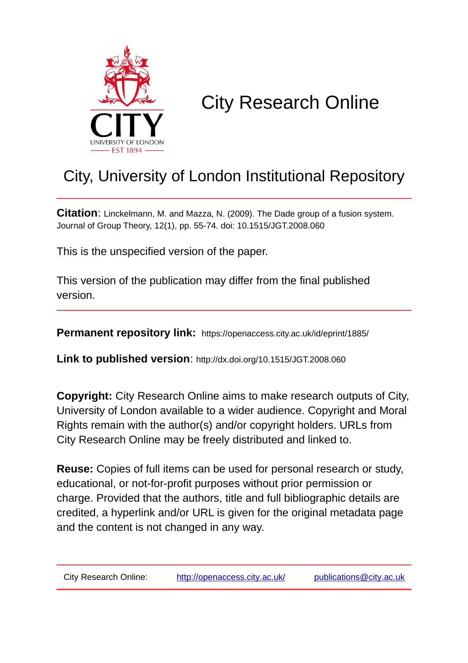

# City Research Online

# City, University of London Institutional Repository

**Citation**: Linckelmann, M. and Mazza, N. (2009). The Dade group of a fusion system. Journal of Group Theory, 12(1), pp. 55-74. doi: 10.1515/JGT.2008.060

This is the unspecified version of the paper.

This version of the publication may differ from the final published version.

**Permanent repository link:** https://openaccess.city.ac.uk/id/eprint/1885/

**Link to published version**: http://dx.doi.org/10.1515/JGT.2008.060

**Copyright:** City Research Online aims to make research outputs of City, University of London available to a wider audience. Copyright and Moral Rights remain with the author(s) and/or copyright holders. URLs from City Research Online may be freely distributed and linked to.

**Reuse:** Copies of full items can be used for personal research or study, educational, or not-for-profit purposes without prior permission or charge. Provided that the authors, title and full bibliographic details are credited, a hyperlink and/or URL is given for the original metadata page and the content is not changed in any way.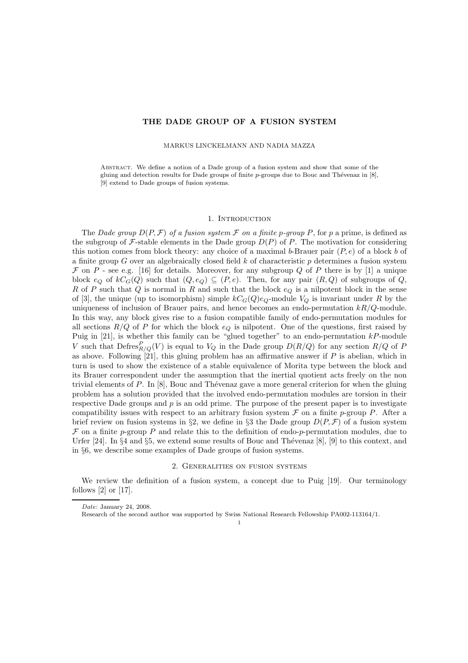### THE DADE GROUP OF A FUSION SYSTEM

MARKUS LINCKELMANN AND NADIA MAZZA

Abstract. We define a notion of a Dade group of a fusion system and show that some of the gluing and detection results for Dade groups of finite  $p$ -groups due to Bouc and Thévenaz in [8], [9] extend to Dade groups of fusion systems.

#### 1. INTRODUCTION

The Dade group  $D(P, \mathcal{F})$  of a fusion system  $\mathcal F$  on a finite p-group P, for p a prime, is defined as the subgroup of  $\mathcal F$ -stable elements in the Dade group  $D(P)$  of P. The motivation for considering this notion comes from block theory: any choice of a maximal b-Brauer pair  $(P, e)$  of a block b of a finite group G over an algebraically closed field  $k$  of characteristic  $p$  determines a fusion system  $\mathcal F$  on  $P$  - see e.g. [16] for details. Moreover, for any subgroup Q of P there is by [1] a unique block  $e_Q$  of  $kC_G(Q)$  such that  $(Q, e_Q) \subseteq (P, e)$ . Then, for any pair  $(R, Q)$  of subgroups of  $Q$ , R of P such that Q is normal in R and such that the block  $e_Q$  is a nilpotent block in the sense of [3], the unique (up to isomorphism) simple  $kC<sub>G</sub>(Q)e<sub>Q</sub>$ -module  $V<sub>Q</sub>$  is invariant under R by the uniqueness of inclusion of Brauer pairs, and hence becomes an endo-permutation  $kR/Q$ -module. In this way, any block gives rise to a fusion compatible family of endo-permutation modules for all sections  $R/Q$  of P for which the block  $e_Q$  is nilpotent. One of the questions, first raised by Puig in  $[21]$ , is whether this family can be "glued together" to an endo-permutation  $kP$ -module V such that  $Defres^P_{R/Q}(V)$  is equal to  $V_Q$  in the Dade group  $D(R/Q)$  for any section  $R/Q$  of P as above. Following  $[21]$ , this gluing problem has an affirmative answer if  $P$  is abelian, which in turn is used to show the existence of a stable equivalence of Morita type between the block and its Brauer correspondent under the assumption that the inertial quotient acts freely on the non trivial elements of P. In  $[8]$ , Bouc and Thévenaz gave a more general criterion for when the gluing problem has a solution provided that the involved endo-permutation modules are torsion in their respective Dade groups and  $p$  is an odd prime. The purpose of the present paper is to investigate compatibility issues with respect to an arbitrary fusion system  $\mathcal F$  on a finite p-group P. After a brief review on fusion systems in §2, we define in §3 the Dade group  $D(P, \mathcal{F})$  of a fusion system  $\mathcal F$  on a finite p-group P and relate this to the definition of endo-p-permutation modules, due to Urfer [24]. In §4 and §5, we extend some results of Bouc and Thévenaz [8], [9] to this context, and in §6, we describe some examples of Dade groups of fusion systems.

#### 2. Generalities on fusion systems

We review the definition of a fusion system, a concept due to Puig [19]. Our terminology follows [2] or [17].

1

Date: January 24, 2008.

Research of the second author was supported by Swiss National Research Fellowship PA002-113164/1.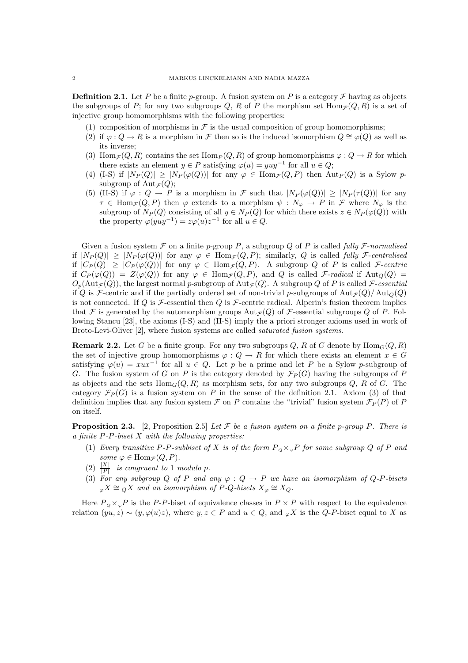**Definition 2.1.** Let P be a finite p-group. A fusion system on P is a category  $\mathcal F$  having as objects the subgroups of P; for any two subgroups Q, R of P the morphism set  $\text{Hom}_{\mathcal{F}}(Q, R)$  is a set of injective group homomorphisms with the following properties:

- (1) composition of morphisms in  $\mathcal F$  is the usual composition of group homomorphisms;
- (2) if  $\varphi$  :  $Q \to R$  is a morphism in F then so is the induced isomorphism  $Q \cong \varphi(Q)$  as well as its inverse;
- (3) Hom $\tau(Q, R)$  contains the set Hom $P(Q, R)$  of group homomorphisms  $\varphi: Q \to R$  for which there exists an element  $y \in P$  satisfying  $\varphi(u) = yuy^{-1}$  for all  $u \in Q$ ;
- (4) (I-S) if  $|N_P(Q)| \ge |N_P(\varphi(Q))|$  for any  $\varphi \in \text{Hom}_{\mathcal{F}}(Q, P)$  then  $\text{Aut}_P(Q)$  is a Sylow psubgroup of  $\text{Aut}_{\mathcal{F}}(Q)$ ;
- (5) (II-S) if  $\varphi: Q \to P$  is a morphism in F such that  $|N_P(\varphi(Q))| \geq |N_P(\tau(Q))|$  for any  $\tau \in \text{Hom}_{\mathcal{F}}(Q, P)$  then  $\varphi$  extends to a morphism  $\psi : N_{\varphi} \to P$  in  $\mathcal{F}$  where  $N_{\varphi}$  is the subgroup of  $N_P(Q)$  consisting of all  $y \in N_P(Q)$  for which there exists  $z \in N_P(\varphi(Q))$  with the property  $\varphi(yuy^{-1}) = z\varphi(u)z^{-1}$  for all  $u \in Q$ .

Given a fusion system  $\mathcal F$  on a finite p-group P, a subgroup Q of P is called fully  $\mathcal F$ -normalised if  $|N_P(Q)| \ge |N_P(\varphi(Q))|$  for any  $\varphi \in \text{Hom}_{\mathcal{F}}(Q, P)$ ; similarly, Q is called fully *F*-centralised if  $|C_P(Q)| \geq |C_P(\varphi(Q))|$  for any  $\varphi \in \text{Hom}_{\mathcal{F}}(Q, P)$ . A subgroup Q of P is called F-centric if  $C_P(\varphi(Q)) = Z(\varphi(Q))$  for any  $\varphi \in \text{Hom}_{\mathcal{F}}(Q, P)$ , and Q is called *F*-radical if  $\text{Aut}_Q(Q)$  =  $O_p(\text{Aut}_{\mathcal{F}}(Q))$ , the largest normal p-subgroup of  $\text{Aut}_{\mathcal{F}}(Q)$ . A subgroup Q of P is called F-essential if Q is F-centric and if the partially ordered set of non-trivial p-subgroups of  $Aut_{\mathcal{F}}(Q)/Aut_{\mathcal{O}}(Q)$ is not connected. If Q is  $\mathcal F$ -essential then Q is  $\mathcal F$ -centric radical. Alperin's fusion theorem implies that F is generated by the automorphism groups  $Aut_{\mathcal{F}}(Q)$  of F-essential subgroups Q of P. Following Stancu [23], the axioms (I-S) and (II-S) imply the a priori stronger axioms used in work of Broto-Levi-Oliver [2], where fusion systems are called saturated fusion systems.

**Remark 2.2.** Let G be a finite group. For any two subgroups  $Q$ , R of G denote by  $\text{Hom}_G(Q, R)$ the set of injective group homomorphisms  $\varphi: Q \to R$  for which there exists an element  $x \in G$ satisfying  $\varphi(u) = xux^{-1}$  for all  $u \in Q$ . Let p be a prime and let P be a Sylow p-subgroup of G. The fusion system of G on P is the category denoted by  $\mathcal{F}_P(G)$  having the subgroups of P as objects and the sets  $\text{Hom}_G(Q, R)$  as morphism sets, for any two subgroups Q, R of G. The category  $\mathcal{F}_P(G)$  is a fusion system on P in the sense of the definition 2.1. Axiom (3) of that definition implies that any fusion system  $\mathcal F$  on P contains the "trivial" fusion system  $\mathcal F_P(P)$  of P on itself.

**Proposition 2.3.** [2, Proposition 2.5] Let  $\mathcal F$  be a fusion system on a finite p-group P. There is a finite  $P-P$ -*biset*  $X$  *with the following properties:*

- (1) Every transitive P-P-subbiset of X is of the form  $P_{\alpha} \times_{\alpha} P$  for some subgroup Q of P and some  $\varphi \in \text{Hom}_{\mathcal{F}}(Q, P)$ .
- (2)  $\frac{|X|}{|P|}$  is congruent to 1 modulo p.
- (3) For any subgroup Q of P and any  $\varphi: Q \to P$  we have an isomorphism of Q-P-bisets  $\varphi X \cong qX$  and an isomorphism of P-Q-bisets  $X_{\varphi} \cong X_Q$ .

Here  $P_{Q} \times_{\varphi} P$  is the P-P-biset of equivalence classes in  $P \times P$  with respect to the equivalence relation  $(yu, z) \sim (y, \varphi(u)z)$ , where  $y, z \in P$  and  $u \in Q$ , and  $\varphi X$  is the Q-P-biset equal to X as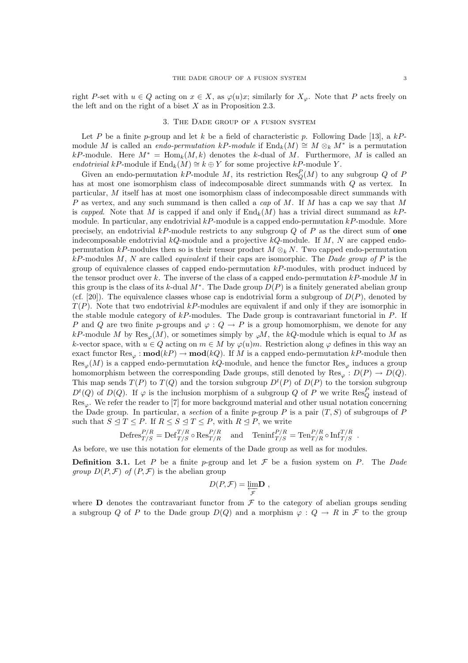right P-set with  $u \in Q$  acting on  $x \in X$ , as  $\varphi(u)x$ ; similarly for  $X_{\varphi}$ . Note that P acts freely on the left and on the right of a biset  $X$  as in Proposition 2.3.

#### 3. The Dade group of a fusion system

Let P be a finite p-group and let k be a field of characteristic p. Following Dade [13], a kPmodule M is called an *endo-permutation kP-module* if  $\text{End}_k(M) \cong M \otimes_k M^*$  is a permutation kP-module. Here  $M^* = \text{Hom}_k(M, k)$  denotes the k-dual of M. Furthermore, M is called an endotrivial kP-module if  $\text{End}_k(M) \cong k \oplus Y$  for some projective kP-module Y.

Given an endo-permutation kP-module M, its restriction  $\text{Res}_{Q}^{P}(M)$  to any subgroup Q of F has at most one isomorphism class of indecomposable direct summands with  $Q$  as vertex. In particular, M itself has at most one isomorphism class of indecomposable direct summands with P as vertex, and any such summand is then called a *cap* of M. If M has a cap we say that M is capped. Note that M is capped if and only if  $\text{End}_{k}(M)$  has a trivial direct summand as  $kP$ module. In particular, any endotrivial  $kP$ -module is a capped endo-permutation  $kP$ -module. More precisely, an endotrivial  $kP$ -module restricts to any subgroup Q of P as the direct sum of one indecomposable endotrivial  $kQ$ -module and a projective  $kQ$ -module. If M, N are capped endopermutation kP-modules then so is their tensor product  $M \otimes_k N$ . Two capped endo-permutation  $kP$ -modules M, N are called *equivalent* if their caps are isomorphic. The *Dade group of* P is the group of equivalence classes of capped endo-permutation  $kP$ -modules, with product induced by the tensor product over k. The inverse of the class of a capped endo-permutation  $kP$ -module M in this group is the class of its k-dual  $M^*$ . The Dade group  $D(P)$  is a finitely generated abelian group (cf. [20]). The equivalence classes whose cap is endotrivial form a subgroup of  $D(P)$ , denoted by  $T(P)$ . Note that two endotrivial kP-modules are equivalent if and only if they are isomorphic in the stable module category of  $kP$ -modules. The Dade group is contravariant functorial in  $P$ . If P and Q are two finite p-groups and  $\varphi: Q \to P$  is a group homomorphism, we denote for any kP-module M by  $\text{Res}_{\varphi}(M)$ , or sometimes simply by  $_{\varphi}M$ , the kQ-module which is equal to M as k-vector space, with  $u \in Q$  acting on  $m \in M$  by  $\varphi(u)m$ . Restriction along  $\varphi$  defines in this way an exact functor  $\text{Res}_{\varphi} : \text{mod}(k) \to \text{mod}(k)$ . If M is a capped endo-permutation kP-module then  $\text{Res}_{\varphi}(M)$  is a capped endo-permutation kQ-module, and hence the functor  $\text{Res}_{\varphi}$  induces a group homomorphism between the corresponding Dade groups, still denoted by  $\text{Res}_{\varphi}: D(P) \to D(Q)$ . This map sends  $T(P)$  to  $T(Q)$  and the torsion subgroup  $D^{t}(P)$  of  $D(P)$  to the torsion subgroup  $D^t(Q)$  of  $D(Q)$ . If  $\varphi$  is the inclusion morphism of a subgroup Q of P we write  $\text{Res}_Q^P$  instead of  $\text{Res}_{\varphi}$ . We refer the reader to [7] for more background material and other usual notation concerning the Dade group. In particular, a section of a finite p-group P is a pair  $(T, S)$  of subgroups of P such that  $S \triangleleft T \leq P$ . If  $R \leq S \triangleleft T \leq P$ , with  $R \triangleleft P$ , we write

$$
\text{Defres}_{T/S}^{P/R}=\text{Def}_{T/S}^{T/R}\circ \text{Res}_{T/R}^{P/R} \quad \text{and} \quad \text{Teninf}_{T/S}^{P/R}=\text{Ten}_{T/R}^{P/R}\circ \text{Inf}_{T/S}^{T/R} \enspace .
$$

As before, we use this notation for elements of the Dade group as well as for modules.

**Definition 3.1.** Let P be a finite p-group and let F be a fusion system on P. The Dade *group*  $D(P, \mathcal{F})$  of  $(P, \mathcal{F})$  is the abelian group

$$
D(P,\mathcal{F})=\underset{\mathcal{F}}{\varprojlim} \mathbf{D} ,
$$

where **D** denotes the contravariant functor from  $\mathcal F$  to the category of abelian groups sending a subgroup Q of P to the Dade group  $D(Q)$  and a morphism  $\varphi: Q \to R$  in F to the group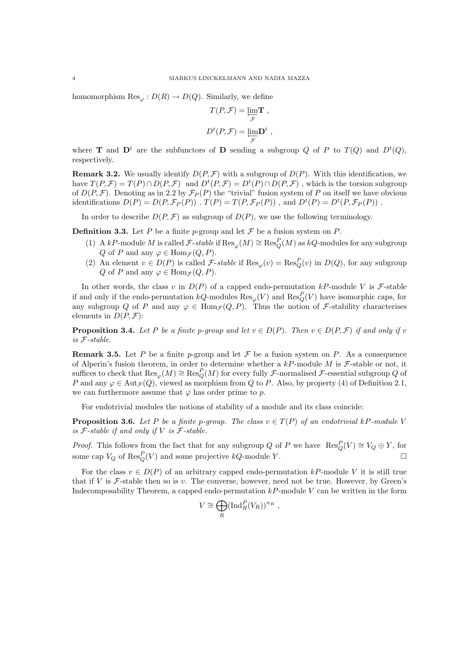homomorphism  $\text{Res}_{\varphi}: D(R) \to D(Q)$ . Similarly, we define

$$
T(P, \mathcal{F}) = \underbrace{\lim_{\mathcal{F}} \mathbf{T}}_{\mathcal{F}},
$$

$$
D^{t}(P, \mathcal{F}) = \underbrace{\lim_{\mathcal{F}} \mathbf{D}}_{\mathcal{F}},
$$

where **T** and  $D^t$  are the subfunctors of **D** sending a subgroup Q of P to  $T(Q)$  and  $D^t(Q)$ , respectively.

**Remark 3.2.** We usually identify  $D(P, \mathcal{F})$  with a subgroup of  $D(P)$ . With this identification, we have  $T(P, \mathcal{F}) = T(P) \cap D(P, \mathcal{F})$  and  $D^t(P, \mathcal{F}) = D^t(P) \cap D(P, \mathcal{F})$ , which is the torsion subgroup of  $D(P, \mathcal{F})$ . Denoting as in 2.2 by  $\mathcal{F}_P(P)$  the "trivial" fusion system of P on itself we have obvious identifications  $D(P) = D(P, \mathcal{F}_P(P))$ ,  $T(P) = T(P, \mathcal{F}_P(P))$ , and  $D^t(P) = D^t(P, \mathcal{F}_P(P))$ .

In order to describe  $D(P, \mathcal{F})$  as subgroup of  $D(P)$ , we use the following terminology.

**Definition 3.3.** Let P be a finite p-group and let  $\mathcal F$  be a fusion system on P.

- (1) A kP-module M is called  $\mathcal{F}\text{-stable}$  if  $\text{Res}_{\varphi}(M) \cong \text{Res}_{Q}^{P}(M)$  as kQ-modules for any subgroup Q of P and any  $\varphi \in \text{Hom}_{\mathcal{F}}(Q, P)$ .
- (2) An element  $v \in D(P)$  is called F-stable if  $\text{Res}_{\varphi}(v) = \text{Res}_{Q}^{P}(v)$  in  $D(Q)$ , for any subgroup Q of P and any  $\varphi \in \text{Hom}_{\mathcal{F}}(Q, P)$ .

In other words, the class v in  $D(P)$  of a capped endo-permutation kP-module V is F-stable if and only if the endo-permutation  $kQ$ -modules  $\text{Res}_{\varphi}(V)$  and  $\text{Res}_{Q}^{P}(V)$  have isomorphic caps, for any subgroup Q of P and any  $\varphi \in \text{Hom}_{\mathcal{F}}(Q, P)$ . Thus the notion of F-stability characterises elements in  $D(P, \mathcal{F})$ :

**Proposition 3.4.** Let P be a finite p-group and let  $v \in D(P)$ . Then  $v \in D(P, \mathcal{F})$  if and only if v is F-stable.

**Remark 3.5.** Let P be a finite p-group and let F be a fusion system on P. As a consequence of Alperin's fusion theorem, in order to determine whether a  $kP$ -module M is F-stable or not, it suffices to check that  $\text{Res}_{\varphi}(M) \cong \text{Res}_{Q}^{P}(M)$  for every fully *F*-normalised *F*-essential subgroup Q of P and any  $\varphi \in \text{Aut}_{\mathcal{F}}(Q)$ , viewed as morphism from Q to P. Also, by property (4) of Definition 2.1, we can furthermore assume that  $\varphi$  has order prime to p.

For endotrivial modules the notions of stability of a module and its class coincide:

**Proposition 3.6.** Let P be a finite p-group. The class  $v \in T(P)$  of an endotrivial kP-module V is  $F$ -stable if and only if V is  $F$ -stable.

*Proof.* This follows from the fact that for any subgroup Q of P we have  $\text{Res}_Q^P(V) \cong V_Q \oplus Y$ , for some cap  $V_Q$  of  $\text{Res}_Q^P(V)$  and some projective  $kQ$ -module Y.

For the class  $v \in D(P)$  of an arbitrary capped endo-permutation kP-module V it is still true that if V is F-stable then so is v. The converse, however, need not be true. However, by Green's Indecomposability Theorem, a capped endo-permutation  $kP$ -module V can be written in the form

$$
V \cong \bigoplus_R (\operatorname{Ind}_R^P(V_R))^{n_R} ,
$$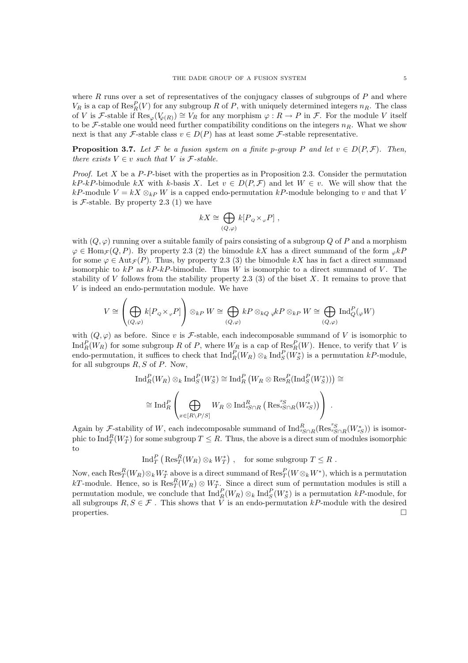where  $R$  runs over a set of representatives of the conjugacy classes of subgroups of  $P$  and where  $V_R$  is a cap of  $\text{Res}_R^P(V)$  for any subgroup R of P, with uniquely determined integers  $n_R$ . The class of V is F-stable if  $\text{Res}_{\varphi}(V_{\varphi(R)}) \cong V_R$  for any morphism  $\varphi: R \to P$  in F. For the module V itself to be  $\mathcal{F}$ -stable one would need further compatibility conditions on the integers  $n_R$ . What we show next is that any F-stable class  $v \in D(P)$  has at least some F-stable representative.

**Proposition 3.7.** Let F be a fusion system on a finite p-group P and let  $v \in D(P, \mathcal{F})$ . Then, there exists  $V \in v$  such that V is *F*-stable.

*Proof.* Let X be a  $P-P$ -biset with the properties as in Proposition 2.3. Consider the permutation kP-kP-bimodule kX with k-basis X. Let  $v \in D(P, \mathcal{F})$  and let  $W \in v$ . We will show that the kP-module  $V = kX \otimes_{kP} W$  is a capped endo-permutation kP-module belonging to v and that V is  $F$ -stable. By property 2.3 (1) we have

$$
kX \cong \bigoplus_{(Q,\varphi)} k[P_Q \times_{\varphi} P] ,
$$

with  $(Q, \varphi)$  running over a suitable family of pairs consisting of a subgroup Q of P and a morphism  $\varphi \in \text{Hom}_{\mathcal{F}}(Q, P)$ . By property 2.3 (2) the bimodule kX has a direct summand of the form  ${}_{\varphi}kP$ for some  $\varphi \in \text{Aut}_{\mathcal{F}}(P)$ . Thus, by property 2.3 (3) the bimodule kX has in fact a direct summand isomorphic to  $kP$  as  $kP$ -kP-bimodule. Thus W is isomorphic to a direct summand of V. The stability of  $V$  follows from the stability property 2.3 (3) of the biset  $X$ . It remains to prove that V is indeed an endo-permutation module. We have

$$
V \cong \left(\bigoplus_{(Q,\varphi)} k[P_{\varphi} \times_{\varphi} P]\right) \otimes_{kP} W \cong \bigoplus_{(Q,\varphi)} kP \otimes_{kQ} {\varphi} kP \otimes_{kP} W \cong \bigoplus_{(Q,\varphi)} \text{Ind}_{Q}^{P}({}_{\varphi} W)
$$

with  $(Q, \varphi)$  as before. Since v is F-stable, each indecomposable summand of V is isomorphic to  $\text{Ind}_{R}^{P}(W_{R})$  for some subgroup R of P, where  $W_{R}$  is a cap of  $\text{Res}_{R}^{P}(W)$ . Hence, to verify that V is endo-permutation, it suffices to check that  $\text{Ind}_R^P(W_R) \otimes_k \text{Ind}_S^P(W_S^*)$  is a permutation kP-module, for all subgroups  $R, S$  of  $P$ . Now,

$$
\operatorname{Ind}_{R}^{P}(W_{R}) \otimes_{k} \operatorname{Ind}_{S}^{P}(W_{S}^{*}) \cong \operatorname{Ind}_{R}^{P}\left(W_{R} \otimes \operatorname{Res}_{R}^{P}(\operatorname{Ind}_{S}^{P}(W_{S}^{*}))\right) \cong
$$
  

$$
\cong \operatorname{Ind}_{R}^{P}\left(\bigoplus_{x \in [R \setminus P / S]} W_{R} \otimes \operatorname{Ind}_{x_{S} \cap R}^{R}\left(\operatorname{Res}_{x_{S} \cap R}^{x_{S}}(W_{x_{S}}^{*})\right)\right).
$$

Again by  $\mathcal{F}_z$ -stability of W, each indecomposable summand of  $\text{Ind}_{xS\cap R}^R(\text{Res}_{xS\cap R}^{xS}(W_{xS}^*))$  is isomorphic to  $\text{Ind}_{T}^{R}(W_{T}^{*})$  for some subgroup  $T\leq R.$  Thus, the above is a direct sum of modules isomorphic to

$$
\operatorname{Ind}^P_T \left( \operatorname{Res}^R_T (W_R) \otimes_k W_T^* \right) , \quad \text{for some subgroup } T \leq R .
$$

Now, each  $\text{Res}_T^R(W_R) \otimes_k W_T^*$  above is a direct summand of  $\text{Res}_T^P(W \otimes_k W^*)$ , which is a permutation Now, each  $\text{Res}_{T}(W_R) \otimes_k W_T$  above is a direct summand of  $\text{Res}_{T}(W \otimes_k W_{-})$ , which is a permutation  $kT$ -module. Hence, so is  $\text{Res}_{T}^{R}(W_R) \otimes W_{T}^{*}$ . Since a direct sum of permutation modules is still a permutation module, we conclude that  $\text{Ind}_R^P(W_R) \otimes_k \text{Ind}_S^P(W_S^*)$  is a permutation kP-module, for all subgroups  $R, S \in \mathcal{F}$ . This shows that V is an endo-permutation kP-module with the desired properties.  $\Box$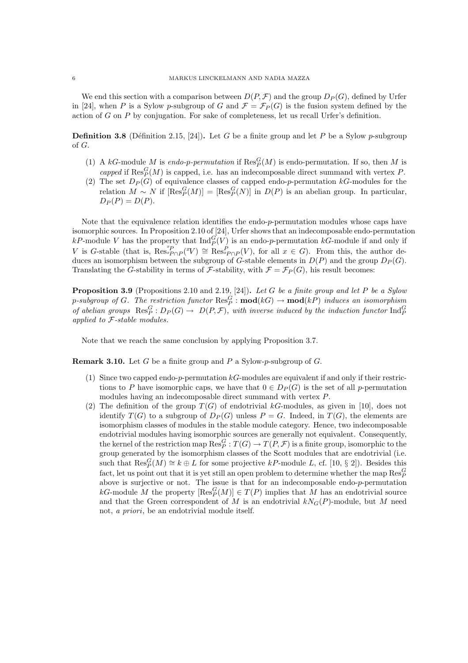We end this section with a comparison between  $D(P, \mathcal{F})$  and the group  $D_P(G)$ , defined by Urfer in [24], when P is a Sylow p-subgroup of G and  $\mathcal{F} = \mathcal{F}_P(G)$  is the fusion system defined by the action of  $G$  on  $P$  by conjugation. For sake of completeness, let us recall Urfer's definition.

**Definition 3.8** (Définition 2.15, [24]). Let G be a finite group and let P be a Sylow p-subgroup of G.

- (1) A kG-module M is endo-p-permutation if  $\text{Res}_{P}^{G}(M)$  is endo-permutation. If so, then M is capped if  $\text{Res}_P^G(M)$  is capped, i.e. has an indecomposable direct summand with vertex P.
- (2) The set  $D_P(G)$  of equivalence classes of capped endo-p-permutation kG-modules for the relation  $M \sim N$  if  $[\text{Res}_P^G(M)] = [\text{Res}_P^G(N)]$  in  $D(P)$  is an abelian group. In particular,  $D_P(P) = D(P)$ .

Note that the equivalence relation identifies the endo-p-permutation modules whose caps have isomorphic sources. In Proposition 2.10 of [24], Urfer shows that an indecomposable endo-permutation kP-module V has the property that  $\text{Ind}_{P}^{G}(V)$  is an endo-p-permutation kG-module if and only if V is G-stable (that is,  $\text{Res}_{p\cap P}^{xP}(x) \cong \text{Res}_{xP\cap P}^{P}(V)$ , for all  $x \in G$ ). From this, the author deduces an isomorphism between the subgroup of G-stable elements in  $D(P)$  and the group  $D_P(G)$ . Translating the G-stability in terms of F-stability, with  $\mathcal{F} = \mathcal{F}_P(G)$ , his result becomes:

**Proposition 3.9** (Propositions 2.10 and 2.19, [24]). Let G be a finite group and let P be a Sylow p-subgroup of G. The restriction functor  $\mathrm{Res}^G_P$  :  $\mathbf{mod}(kG) \to \mathbf{mod}(kP)$  induces an isomorphism of abelian groups  $\operatorname{Res}_P^G: D_P(G) \to D(P,\mathcal{F})$ , with inverse induced by the induction functor  $\operatorname{Ind}_P^G$ applied to F-stable modules.

Note that we reach the same conclusion by applying Proposition 3.7.

**Remark 3.10.** Let G be a finite group and P a Sylow-p-subgroup of G.

- (1) Since two capped endo-p-permutation  $k$ G-modules are equivalent if and only if their restrictions to P have isomorphic caps, we have that  $0 \in D<sub>P</sub>(G)$  is the set of all p-permutation modules having an indecomposable direct summand with vertex P.
- (2) The definition of the group  $T(G)$  of endotrivial kG-modules, as given in [10], does not identify  $T(G)$  to a subgroup of  $D_P(G)$  unless  $P = G$ . Indeed, in  $T(G)$ , the elements are isomorphism classes of modules in the stable module category. Hence, two indecomposable endotrivial modules having isomorphic sources are generally not equivalent. Consequently, the kernel of the restriction map  $\mathrm{Res}^G_P:T(G)\to T(P,\mathcal{F})$  is a finite group, isomorphic to the group generated by the isomorphism classes of the Scott modules that are endotrivial (i.e. such that  $\text{Res}_{P}^{G}(M) \cong k \oplus L$  for some projective  $kP$ -module L, cf. [10, § 2]). Besides this fact, let us point out that it is yet still an open problem to determine whether the map  $\operatorname{Res}_P^G$ above is surjective or not. The issue is that for an indecomposable endo-p-permutation kG-module M the property  $[\operatorname{Res}_{P}^{G}(M)] \in T(P)$  implies that M has an endotrivial source and that the Green correspondent of M is an endotrivial  $kN_G(P)$ -module, but M need not, a priori, be an endotrivial module itself.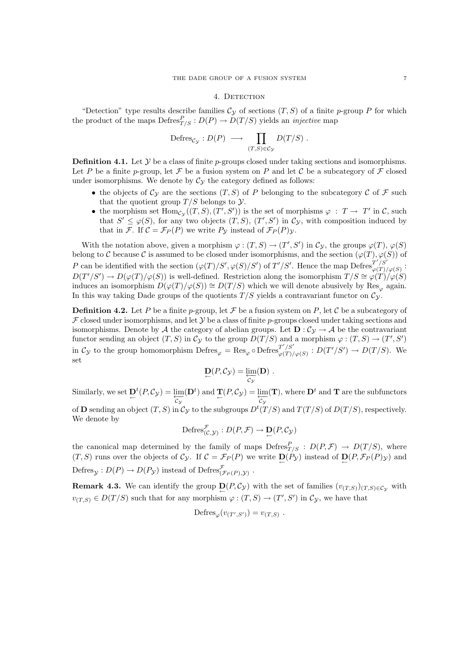#### 4. DETECTION

"Detection" type results describe families  $\mathcal{C}_{\mathcal{Y}}$  of sections  $(T, S)$  of a finite p-group P for which the product of the maps  $\mathrm{Defres}^P_{T/S} : D(P) \to D(T/S)$  yields an *injective* map

$$
\mathrm{Defres}_{\mathcal{C}_{\mathcal{Y}}} : D(P) \; \longrightarrow \; \prod_{(T,S)\in \mathcal{C}_{\mathcal{Y}}} D(T/S) \; .
$$

**Definition 4.1.** Let Y be a class of finite *p*-groups closed under taking sections and isomorphisms. Let P be a finite p-group, let F be a fusion system on P and let C be a subcategory of F closed under isomorphisms. We denote by  $C_y$  the category defined as follows:

- the objects of  $\mathcal{C}_{\mathcal{V}}$  are the sections  $(T, S)$  of P belonging to the subcategory C of F such that the quotient group  $T/S$  belongs to  $\mathcal Y$ .
- the morphism set  $\text{Hom}_{\mathcal{C}_{\mathcal{Y}}}((T, S), (T', S'))$  is the set of morphisms  $\varphi : T \to T'$  in  $\mathcal{C}$ , such that  $S' \leq \varphi(S)$ , for any two objects  $(T, S)$ ,  $(T', S')$  in  $\mathcal{C}_{\mathcal{Y}}$ , with composition induced by that in F. If  $C = \mathcal{F}_P(P)$  we write  $P_\mathcal{Y}$  instead of  $\mathcal{F}_P(P)_\mathcal{Y}$ .

With the notation above, given a morphism  $\varphi : (T, S) \to (T', S')$  in  $\mathcal{C}_{\mathcal{Y}}$ , the groups  $\varphi(T)$ ,  $\varphi(S)$ belong to C because C is assumed to be closed under isomorphisms, and the section  $(\varphi(T), \varphi(S))$  of P can be identified with the section  $(\varphi(T)/S', \varphi(S)/S')$  of  $T'/S'$ . Hence the map Defres  $T'/S'$  $\frac{1}{\varphi(T)/\varphi(S)}$ :  $D(T'/S') \to D(\varphi(T)/\varphi(S))$  is well-defined. Restriction along the isomorphism  $T/S \cong \varphi(T)/\varphi(S)$ induces an isomorphism  $D(\varphi(T)/\varphi(S)) \cong D(T/S)$  which we will denote abusively by Res<sub> $\varphi$ </sub> again. In this way taking Dade groups of the quotients  $T/S$  yields a contravariant functor on  $\mathcal{C}_{\mathcal{V}}$ .

**Definition 4.2.** Let P be a finite p-group, let F be a fusion system on P, let C be a subcategory of  $\mathcal F$  closed under isomorphisms, and let  $\mathcal Y$  be a class of finite p-groups closed under taking sections and isomorphisms. Denote by A the category of abelian groups. Let  $\mathbf{D} : C_{\mathcal{Y}} \to \mathcal{A}$  be the contravariant functor sending an object  $(T, S)$  in  $\mathcal{C}_{\mathcal{Y}}$  to the group  $D(T/S)$  and a morphism  $\varphi : (T, S) \to (T', S')$ in  $\mathcal{C}_{\mathcal{Y}}$  to the group homomorphism  $\mathrm{Defres}_{\varphi} = \mathrm{Res}_{\varphi} \circ \mathrm{Defres}_{\varphi(T)}^{T'/S'}$  $\frac{T'/S'}{\varphi(T)/\varphi(S)}$ :  $D(T'/S') \to D(T/S)$ . We set

$$
\mathbf{D}(P,\mathcal{C}_{\mathcal{Y}})=\underleftarrow{\lim}_{\mathcal{C}_{\mathcal{Y}}}(\mathbf{D})\ .
$$

Similarly, we set  $\underline{\mathbf{D}}^t(P, \mathcal{C}_{\mathcal{Y}}) = \underleftarrow{\lim}_{\mathcal{C}_{\mathcal{Y}}}(\mathbf{D}^t)$  and  $\underline{\mathbf{T}}(P, \mathcal{C}_{\mathcal{Y}}) = \underleftarrow{\lim}_{\mathcal{C}_{\mathcal{Y}}}(\mathbf{T})$ , where  $\mathbf{D}^t$  and  $\mathbf{T}$  are the subfunctors of **D** sending an object  $(T, S)$  in  $\mathcal{C}_{\mathcal{Y}}$  to the subgroups  $D^t(T/S)$  and  $T(T/S)$  of  $D(T/S)$ , respectively. We denote by

$$
\mathrm{Defres}_{(\mathcal{C},\mathcal{Y})}^{\mathcal{F}}: D(P,\mathcal{F}) \to \mathbf{D}(P,\mathcal{C}_{\mathcal{Y}})
$$

the canonical map determined by the family of maps  $Defres^P_{T/S} : D(P,\mathcal{F}) \to D(T/S)$ , where  $(T, S)$  runs over the objects of  $\mathcal{C}_{\mathcal{Y}}$ . If  $\mathcal{C} = \mathcal{F}_P(P)$  we write  $\mathbf{D}(P_{\mathcal{Y}})$  instead of  $\mathbf{D}(P, \mathcal{F}_P(P)_{\mathcal{Y}})$  and Defres $y: D(P) \to D(P_y)$  instead of Defres  $\mathcal{F}_{(P(P), y)}$ .

**Remark 4.3.** We can identify the group  $\underline{D}(P,C_{\mathcal{Y}})$  with the set of families  $(v_{(T,S)})(T,S) \in C_{\mathcal{Y}}$  with  $v_{(T,S)} \in D(T/S)$  such that for any morphism  $\varphi : (T, S) \to (T', S')$  in  $\mathcal{C}_{\mathcal{Y}}$ , we have that

$$
\mathrm{Defres}_{\varphi}(v_{(T',S')}) = v_{(T,S)} \; .
$$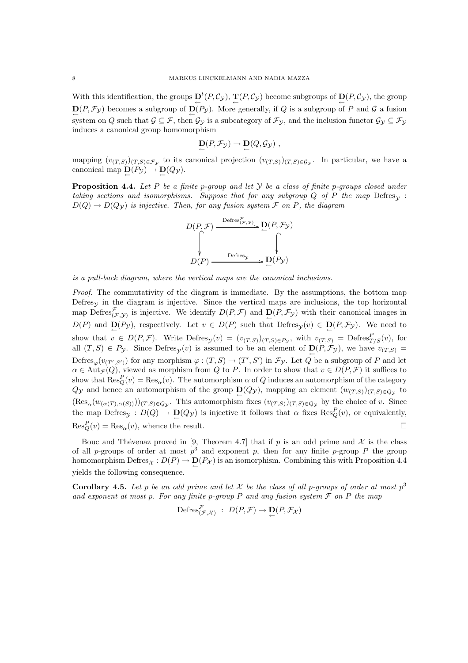With this identification, the groups  $\mathbf{D}^t(P, \mathcal{C}_{\mathcal{Y}})$ ,  $\mathbf{T}(P, \mathcal{C}_{\mathcal{Y}})$  become subgroups of  $\mathbf{D}(P, \mathcal{C}_{\mathcal{Y}})$ , the group  $\mathbf{D}(P, \mathcal{F}_{\mathcal{Y}})$  becomes a subgroup of  $\mathbf{D}(P_{\mathcal{Y}})$ . More generally, if Q is a subgroup of P and G a fusion system on Q such that  $\mathcal{G} \subseteq \mathcal{F}$ , then  $\mathcal{G}_y$  is a subcategory of  $\mathcal{F}_y$ , and the inclusion functor  $\mathcal{G}_y \subseteq \mathcal{F}_y$ induces a canonical group homomorphism

$$
\mathbf{D}(P,\mathcal{F}_{\mathcal{Y}}) \to \mathbf{D}(Q,\mathcal{G}_{\mathcal{Y}}) ,
$$

mapping  $(v_{(T,S)})(T,S) \in \mathcal{F}_{\mathcal{Y}}$  to its canonical projection  $(v_{(T,S)})(T,S) \in \mathcal{G}_{\mathcal{Y}}$ . In particular, we have a canonical map  $\underline{\mathbf{D}}(P_{\mathcal{Y}}) \to \underline{\mathbf{D}}(Q_{\mathcal{Y}})$ .

**Proposition 4.4.** Let P be a finite p-group and let Y be a class of finite p-groups closed under taking sections and isomorphisms. Suppose that for any subgroup  $Q$  of P the map Defres<sub>N</sub>:  $D(Q) \rightarrow D(Q_{\mathcal{V}})$  is injective. Then, for any fusion system  $\mathcal{F}$  on P, the diagram



is a pull-back diagram, where the vertical maps are the canonical inclusions.

Proof. The commutativity of the diagram is immediate. By the assumptions, the bottom map Defres<sub>y</sub> in the diagram is injective. Since the vertical maps are inclusions, the top horizontal map Defres $\mathcal{F}_{(\mathcal{F}, \mathcal{Y})}$  is injective. We identify  $D(P, \mathcal{F})$  and  $D(P, \mathcal{F}_{\mathcal{Y}})$  with their canonical images in  $D(P)$  and  $D(P_y)$ , respectively. Let  $v \in D(P)$  such that  $Defres_y(v) \in D(P, \mathcal{F}_y)$ . We need to show that  $v \in D(P, \mathcal{F})$ . Write  $\text{Defres}_{\mathcal{Y}}(v) = (v_{(T,S)})(T, S) \in P_{\mathcal{Y}}$ , with  $v_{(T,S)} = \text{Defres}_{T/S}^P(v)$ , for all  $(T, S) \in P_{\mathcal{Y}}$ . Since Defres<sub> $\mathcal{Y}(v)$ </sub> is assumed to be an element of  $\mathbf{D}(P, \mathcal{F}_{\mathcal{Y}})$ , we have  $v_{(T,S)} =$ Defres<sub> $\varphi$ </sub> $(v_{(T',S')})$  for any morphism  $\varphi : (T, S) \to (T', S')$  in  $\mathcal{F}_y$ . Let Q be a subgroup of P and let  $\alpha \in \text{Aut}_{\mathcal{F}}(Q)$ , viewed as morphism from Q to P. In order to show that  $v \in D(P, \mathcal{F})$  it suffices to show that  $\text{Res}_{Q}^{P}(v) = \text{Res}_{\alpha}(v)$ . The automorphism  $\alpha$  of Q induces an automorphism of the category  $Q_{\mathcal{Y}}$  and hence an automorphism of the group  $\mathbf{D}(Q_{\mathcal{Y}})$ , mapping an element  $(w_{(T,S)})_{(T,S)\in Q_{\mathcal{Y}}}$  to  $(\text{Res}_{\alpha}(w_{(\alpha(T),\alpha(S))}))_{(T,S)\in Q_{\mathcal{Y}}}$ . This automorphism fixes  $(v_{(T,S)})_{(T,S)\in Q_{\mathcal{Y}}}$  by the choice of v. Since the map Defres<sub>y</sub> :  $D(Q) \to \mathbf{D}(Q_{\mathcal{Y}})$  is injective it follows that  $\alpha$  fixes  $\text{Res}_Q^P(v)$ , or equivalently,  $\text{Res}_Q^P(v) = \text{Res}_{\alpha}(v)$ , whence the result.

Bouc and Thévenaz proved in [9, Theorem 4.7] that if p is an odd prime and  $\mathcal X$  is the class of all p-groups of order at most  $p^3$  and exponent p, then for any finite p-group P the group homomorphism  $\text{Defres}_{\mathcal{X}}: D(P) \to \mathbf{D}(P_{\mathcal{X}})$  is an isomorphism. Combining this with Proposition 4.4 yields the following consequence.

**Corollary 4.5.** Let p be an odd prime and let X be the class of all p-groups of order at most  $p^3$ and exponent at most p. For any finite p-group P and any fusion system  $\mathcal F$  on P the map

$$
\mathrm{Defres}^{\mathcal{F}}_{(\mathcal{F},\mathcal{X})} : D(P,\mathcal{F}) \to \mathbf{D}(P,\mathcal{F}_{\mathcal{X}})
$$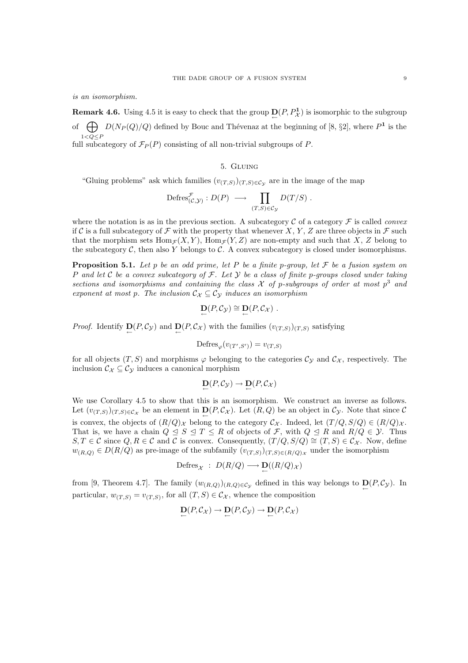is an isomorphism.

**Remark 4.6.** Using 4.5 it is easy to check that the group  $D(P, P^1)$  is isomorphic to the subgroup of  $\bigoplus D(N_P(Q)/Q)$  defined by Bouc and Thévenaz at the beginning of [8, §2], where  $P^1$  is the  $1\!<\!Q\!\leq\!P$ full subcategory of  $\mathcal{F}_P(P)$  consisting of all non-trivial subgroups of P.

## 5. Gluing

"Gluing problems" ask which families  $(v_{(T,S)})(T,S) \in \mathcal{C}_{\mathcal{Y}}$  are in the image of the map

$$
\mathrm{Defres}_{(\mathcal{C},\mathcal{Y})}^{\mathcal{F}}: D(P) \longrightarrow \prod_{(T,S)\in\mathcal{C}_{\mathcal{Y}}} D(T/S) .
$$

where the notation is as in the previous section. A subcategory  $\mathcal C$  of a category  $\mathcal F$  is called *convex* if C is a full subcategory of F with the property that whenever X, Y, Z are three objects in F such that the morphism sets  $\text{Hom}_{\mathcal{F}}(X, Y)$ ,  $\text{Hom}_{\mathcal{F}}(Y, Z)$  are non-empty and such that X, Z belong to the subcategory  $C$ , then also Y belongs to  $C$ . A convex subcategory is closed under isomorphisms.

**Proposition 5.1.** Let p be an odd prime, let P be a finite p-group, let F be a fusion system on P and let C be a convex subcategory of F. Let  $\mathcal Y$  be a class of finite p-groups closed under taking sections and isomorphisms and containing the class  $\mathcal X$  of p-subgroups of order at most  $p^3$  and exponent at most p. The inclusion  $\mathcal{C}_{\mathcal{X}} \subseteq \mathcal{C}_{\mathcal{Y}}$  induces an isomorphism

$$
\mathbf{D}(P,\mathcal{C}_{\mathcal{Y}}) \cong \mathbf{D}(P,\mathcal{C}_{\mathcal{X}}) .
$$

*Proof.* Identify  $\underline{D}(P, C_{\mathcal{Y}})$  and  $\underline{D}(P, C_{\mathcal{X}})$  with the families  $(v_{(T,S)})(T, S)$  satisfying

$$
\mathrm{Defres}_{\varphi}(v_{(T',S')}) = v_{(T,S)}
$$

for all objects  $(T, S)$  and morphisms  $\varphi$  belonging to the categories  $\mathcal{C}_{\mathcal{Y}}$  and  $\mathcal{C}_{\mathcal{X}}$ , respectively. The inclusion  $\mathcal{C}_{\mathcal{X}} \subseteq \mathcal{C}_{\mathcal{Y}}$  induces a canonical morphism

$$
\mathbf{D}(P,\mathcal{C}_{\mathcal{Y}}) \to \mathbf{D}(P,\mathcal{C}_{\mathcal{X}})
$$

We use Corollary 4.5 to show that this is an isomorphism. We construct an inverse as follows. Let  $(v_{(T,S)})(T,S) \in \mathcal{C}_{\mathcal{X}}$  be an element in  $\mathbf{D}(P,\mathcal{C}_{\mathcal{X}})$ . Let  $(R,Q)$  be an object in  $\mathcal{C}_{\mathcal{Y}}$ . Note that since  $\mathcal{C}$ is convex, the objects of  $(R/Q)_\chi$  belong to the category  $C_\chi$ . Indeed, let  $(T/Q, S/Q) \in (R/Q)_\chi$ . That is, we have a chain  $Q \leq S \leq T \leq R$  of objects of  $\mathcal{F}$ , with  $Q \leq R$  and  $R/Q \in \mathcal{Y}$ . Thus  $S, T \in \mathcal{C}$  since  $Q, R \in \mathcal{C}$  and  $\mathcal{C}$  is convex. Consequently,  $(T/Q, S/Q) \cong (T, S) \in \mathcal{C}_{\mathcal{X}}$ . Now, define  $w_{(R,Q)} \in D(R/Q)$  as pre-image of the subfamily  $(v_{(T,S)})(T,S) \in (R/Q)_{\mathcal{X}}$  under the isomorphism

$$
\operatorname{Defres}_{\mathcal{X}} \ : \ D(R/Q) \longrightarrow \mathbf{D}((R/Q)_{\mathcal{X}})
$$

from [9, Theorem 4.7]. The family  $(w_{(R,Q)})_{(R,Q)\in\mathcal{C}_{\mathcal{Y}}}$  defined in this way belongs to  $\mathbf{D}(P,\mathcal{C}_{\mathcal{Y}})$ . In particular,  $w_{(T,S)} = v_{(T,S)}$ , for all  $(T, S) \in C_{\mathcal{X}}$ , whence the composition

$$
\mathbf{D}(P, \mathcal{C}_{\mathcal{X}}) \to \mathbf{D}(P, \mathcal{C}_{\mathcal{Y}}) \to \mathbf{D}(P, \mathcal{C}_{\mathcal{X}})
$$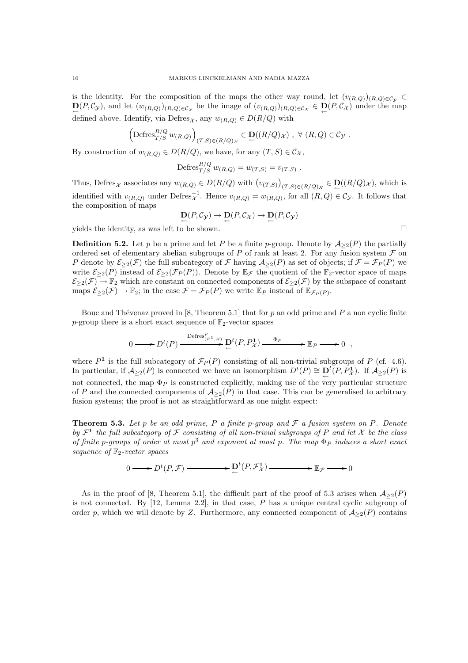is the identity. For the composition of the maps the other way round, let  $(v_{(R,Q)})_{(R,Q)\in\mathcal{C}_V} \in$  $\underline{\mathbf{D}}(P,\mathcal{C}_{\mathcal{Y}})$ , and let  $(w_{(R,Q)})_{(R,Q)\in\mathcal{C}_{\mathcal{Y}}}$  be the image of  $(v_{(R,Q)})_{(R,Q)\in\mathcal{C}_{\mathcal{X}}} \in \underline{\mathbf{D}}(P,\mathcal{C}_{\mathcal{X}})$  under the map defined above. Identify, via Defres<sub>X</sub>, any  $w_{(R,Q)} \in D(R/Q)$  with

$$
\left(\mathrm{Defres}_{T/S}^{R/Q} w_{(R,Q)}\right)_{(T,S)\in (R/Q)_\mathcal{X}} \in \mathbf{D}((R/Q)_\mathcal{X}), \ \forall \ (R,Q)\in \mathcal{C}_\mathcal{Y}.
$$

By construction of  $w_{(R,Q)} \in D(R/Q)$ , we have, for any  $(T, S) \in C_{\mathcal{X}}$ ,

Defres<sup>R/Q</sup><sub>T/S</sub> 
$$
w_{(R,Q)} = w_{(T,S)} = v_{(T,S)}
$$
.

Thus, Defres<sub>X</sub> associates any  $w_{(R,Q)} \in D(R/Q)$  with  $(v_{(T,S)})_{(T,S) \in (R/Q)_X} \in D((R/Q)_X)$ , which is identified with  $v_{(R,Q)}$  under Defres $_{\mathcal{X}}^{-1}$ . Hence  $v_{(R,Q)} = w_{(R,Q)}$ , for all  $(R,Q) \in C_{\mathcal{Y}}$ . It follows that the composition of maps

$$
\mathbf{D}(P,\mathcal{C}_{\mathcal{Y}}) \to \mathbf{D}(P,\mathcal{C}_{\mathcal{X}}) \to \mathbf{D}(P,\mathcal{C}_{\mathcal{Y}})
$$

yields the identity, as was left to be shown.

**Definition 5.2.** Let p be a prime and let P be a finite p-group. Denote by  $\mathcal{A}_{\geq 2}(P)$  the partially ordered set of elementary abelian subgroups of  $P$  of rank at least 2. For any fusion system  $\mathcal F$  on P denote by  $\mathcal{E}_{\geq 2}(\mathcal{F})$  the full subcategory of F having  $\mathcal{A}_{\geq 2}(P)$  as set of objects; if  $\mathcal{F} = \mathcal{F}_P(P)$  we write  $\mathcal{E}_{\geq 2}(P)$  instead of  $\mathcal{E}_{\geq 2}(\mathcal{F}_P(P))$ . Denote by  $\mathbb{E}_{\mathcal{F}}$  the quotient of the  $\mathbb{F}_2$ -vector space of maps  $\mathcal{E}_{\geq 2}(\mathcal{F}) \to \mathbb{F}_2$  which are constant on connected components of  $\mathcal{E}_{\geq 2}(\mathcal{F})$  by the subspace of constant maps  $\mathcal{E}_{\geq 2}(\mathcal{F}) \to \mathbb{F}_2$ ; in the case  $\mathcal{F} = \mathcal{F}_P(P)$  we write  $\mathbb{E}_P$  instead of  $\mathbb{E}_{\mathcal{F}_P(P)}$ .

Bouc and Thévenaz proved in [8, Theorem 5.1] that for  $p$  an odd prime and  $P$  a non cyclic finite p-group there is a short exact sequence of  $\mathbb{F}_2$ -vector spaces

$$
0 \longrightarrow D^t(P) \xrightarrow{\text{Defres}_{(P^1,\mathcal{X})}^P} \mathbf{D}^t(P, P^1_{\mathcal{X}}) \xrightarrow{\Phi_P} \mathbb{E}_P \longrightarrow 0 ,
$$

where  $P^1$  is the full subcategory of  $\mathcal{F}_P(P)$  consisting of all non-trivial subgroups of P (cf. 4.6). In particular, if  $\mathcal{A}_{\geq 2}(P)$  is connected we have an isomorphism  $D^t(P) \cong \mathcal{D}^t(P, P^{\mathbf{1}}_{\mathcal{X}})$ . If  $\mathcal{A}_{\geq 2}(P)$  is not connected, the map  $\Phi_P$  is constructed explicitly, making use of the very particular structure of P and the connected components of  $A_{\geq 2}(P)$  in that case. This can be generalised to arbitrary fusion systems; the proof is not as straightforward as one might expect:

**Theorem 5.3.** Let p be an odd prime, P a finite p-group and F a fusion system on P. Denote by  $\mathcal{F}^1$  the full subcategory of  $\mathcal F$  consisting of all non-trivial subgroups of P and let X be the class of finite p-groups of order at most  $p^3$  and exponent at most p. The map  $\Phi_P$  induces a short exact sequence of  $\mathbb{F}_2$ -vector spaces

$$
0 \longrightarrow D^t(P, \mathcal{F}) \longrightarrow D^t(P, \mathcal{F}_\mathcal{X}^1) \longrightarrow E_{\mathcal{F}} \longrightarrow E_{\mathcal{F}} \longrightarrow 0
$$

As in the proof of [8, Theorem 5.1], the difficult part of the proof of 5.3 arises when  $\mathcal{A}_{\geq 2}(P)$ is not connected. By  $[12, \text{ Lemma } 2.2]$ , in that case, P has a unique central cyclic subgroup of order p, which we will denote by Z. Furthermore, any connected component of  $\mathcal{A}_{\geq 2}(P)$  contains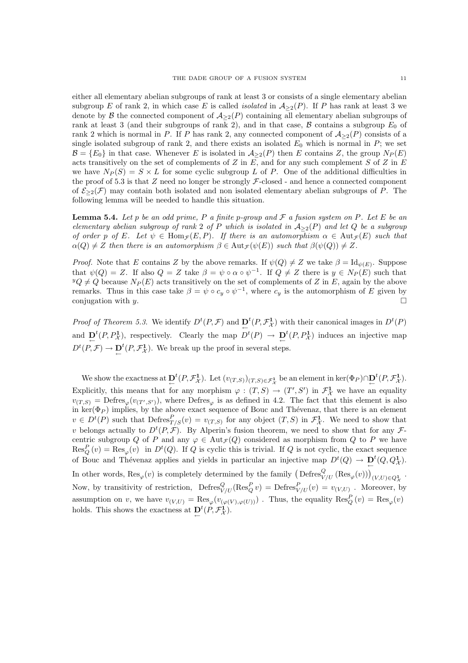either all elementary abelian subgroups of rank at least 3 or consists of a single elementary abelian subgroup E of rank 2, in which case E is called *isolated* in  $A_{\geq 2}(P)$ . If P has rank at least 3 we denote by B the connected component of  $A_{\geq 2}(P)$  containing all elementary abelian subgroups of rank at least 3 (and their subgroups of rank 2), and in that case,  $\beta$  contains a subgroup  $E_0$  of rank 2 which is normal in P. If P has rank 2, any connected component of  $A_{\geq 2}(P)$  consists of a single isolated subgroup of rank 2, and there exists an isolated  $E_0$  which is normal in  $P$ ; we set  $\mathcal{B} = \{E_0\}$  in that case. Whenever E is isolated in  $\mathcal{A}_{\geq 2}(P)$  then E contains Z, the group  $N_P(E)$ acts transitively on the set of complements of  $Z$  in  $E$ , and for any such complement  $S$  of  $Z$  in  $E$ we have  $N_P(S) = S \times L$  for some cyclic subgroup L of P. One of the additional difficulties in the proof of 5.3 is that  $Z$  need no longer be strongly  $\mathcal{F}\text{-closed}$  - and hence a connected component of  $\mathcal{E}_{\geq 2}(\mathcal{F})$  may contain both isolated and non isolated elementary abelian subgroups of P. The following lemma will be needed to handle this situation.

**Lemma 5.4.** Let p be an odd prime, P a finite p-group and F a fusion system on P. Let E be an elementary abelian subgroup of rank 2 of P which is isolated in  $A_{\geq 2}(P)$  and let Q be a subgroup of order p of E. Let  $\psi \in \text{Hom}_{\mathcal{F}}(E, P)$ . If there is an automorphism  $\alpha \in \text{Aut}_{\mathcal{F}}(E)$  such that  $\alpha(Q) \neq Z$  then there is an automorphism  $\beta \in \text{Aut}_{\mathcal{F}}(\psi(E))$  such that  $\beta(\psi(Q)) \neq Z$ .

*Proof.* Note that E contains Z by the above remarks. If  $\psi(Q) \neq Z$  we take  $\beta = \text{Id}_{\psi(E)}$ . Suppose that  $\psi(Q) = Z$ . If also  $Q = Z$  take  $\beta = \psi \circ \alpha \circ \psi^{-1}$ . If  $Q \neq Z$  there is  $y \in N_P(E)$  such that  $\overline{YQ} \neq \overline{Q}$  because  $N_P(E)$  acts transitively on the set of complements of Z in E, again by the above remarks. Thus in this case take  $\beta = \psi \circ c_y \circ \psi^{-1}$ , where  $c_y$  is the automorphism of E given by conjugation with y.  $\Box$ 

Proof of Theorem 5.3. We identify  $D^t(P, \mathcal{F})$  and  $\mathbf{D}^t(P, \mathcal{F}^1_{\mathcal{X}})$  with their canonical images in  $D^t(P)$ and  $\underline{D}^t(P, P^1_{\mathcal{X}})$ , respectively. Clearly the map  $D^t(P) \to \underline{D}^t(P, P^1_{\mathcal{X}})$  induces an injective map  $D^t(P,\mathcal{F}) \to \mathbf{D}^t(P,\mathcal{F}^1_{\mathcal{X}})$ . We break up the proof in several steps.

We show the exactness at  $\underline{D}^t(P, \mathcal{F}^1_{\mathcal{X}})$ . Let  $(v_{(T,S)})_{(T,S)\in\mathcal{F}^1_{\mathcal{X}}}$  be an element in ker $(\Phi_P)\cap \underline{D}^t(P, \mathcal{F}^1_{\mathcal{X}})$ . Explicitly, this means that for any morphism  $\varphi : (T, S) \to (T', S')$  in  $\mathcal{F}^1_{\mathcal{X}}$  we have an equality  $v_{(T,S)} = \text{Defres}_{\varphi}(v_{(T',S')})$ , where  $\text{Defres}_{\varphi}$  is as defined in 4.2. The fact that this element is also in ker( $\Phi_P$ ) implies, by the above exact sequence of Bouc and Thévenaz, that there is an element  $v \in D^{t}(P)$  such that  $\text{Defres}^{P}_{T/S}(v) = v_{(T,S)}$  for any object  $(T, S)$  in  $\mathcal{F}^{\mathbf{1}}_{\mathcal{X}}$ . We need to show that v belongs actually to  $D^t(P, \mathcal{F})$ . By Alperin's fusion theorem, we need to show that for any  $\mathcal{F}$ centric subgroup Q of P and any  $\varphi \in Aut_{\mathcal{F}}(Q)$  considered as morphism from Q to P we have  $\operatorname{Res}_Q^P(v) = \operatorname{Res}_{\varphi}(v)$  in  $D^t(Q)$ . If Q is cyclic this is trivial. If Q is not cyclic, the exact sequence of Bouc and Thévenaz applies and yields in particular an injective map  $D^t(Q) \to \mathbf{D}^t(Q, Q^1)$ . In other words,  $\text{Res}_{\varphi}(v)$  is completely determined by the family  $\left(\text{Defres}_{V/U}^Q(\text{Res}_{\varphi}(v))\right)_{(V,U)\in Q^1_{\mathcal{X}}}$ . Now, by transitivity of restriction,  $\text{Defres}_{V/U}^Q(\text{Res}_Q^P v) = \text{Defres}_{V/U}^P(v) = v_{(V,U)}$ . Moreover, by assumption on v, we have  $v_{(V,U)} = \text{Res}_{\varphi}(v_{(\varphi(V),\varphi(U))})$ . Thus, the equality  $\text{Res}_{Q}^{P}(v) = \text{Res}_{\varphi}(v)$ holds. This shows the exactness at  $\underline{D}^t(P, \mathcal{F}^{\mathbf{1}}_{\mathcal{X}})$ .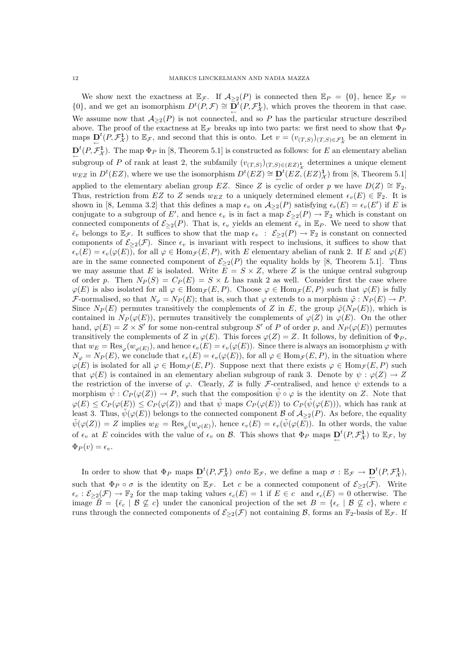We show next the exactness at  $\mathbb{E}_{\mathcal{F}}$ . If  $\mathcal{A}_{\geq 2}(P)$  is connected then  $\mathbb{E}_{P} = \{0\}$ , hence  $\mathbb{E}_{\mathcal{F}} =$  $\{0\}$ , and we get an isomorphism  $D^t(P,\mathcal{F}) \cong \overline{D}^t(P,\mathcal{F}^1_{\mathcal{X}})$ , which proves the theorem in that case. We assume now that  $A_{\geq 2}(P)$  is not connected, and so P has the particular structure described above. The proof of the exactness at  $\mathbb{E}_{\mathcal{F}}$  breaks up into two parts: we first need to show that  $\Phi_P$ maps  $\mathbf{D}^t(P, \mathcal{F}^1_{\mathcal{X}})$  to  $\mathbb{E}_{\mathcal{F}}$ , and second that this is onto. Let  $v = (v_{(T,S)})_{(T,S) \in \mathcal{F}^1_{\mathcal{X}}}$  be an element in  $\mathbf{D}^{t}(P, \mathcal{F}_{\mathcal{X}}^{1})$ . The map  $\Phi_{P}$  in [8, Theorem 5.1] is constructed as follows: for E an elementary abelian subgroup of P of rank at least 2, the subfamily  $(v_{(T,S)})_{(T,S) \in (EZ)_{\chi}^{1}}$  determines a unique element  $w_{EZ}$  in  $D^{t}(EZ)$ , where we use the isomorphism  $D^{t}(EZ) \cong D^{t}(EZ,(EZ)_{\mathcal{X}}^{1})$  from [8, Theorem 5.1] applied to the elementary abelian group EZ. Since Z is cyclic of order p we have  $D(Z) \cong \mathbb{F}_2$ . Thus, restriction from EZ to Z sends  $w_{EZ}$  to a uniquely determined element  $\epsilon_v(E) \in \mathbb{F}_2$ . It is shown in [8, Lemma 3.2] that this defines a map  $\epsilon_v$  on  $\mathcal{A}_{\geq 2}(P)$  satisfying  $\epsilon_v(E) = \epsilon_v(E')$  if E is conjugate to a subgroup of E', and hence  $\epsilon_v$  is in fact a map  $\mathcal{E}_{\geq 2}(P) \to \mathbb{F}_2$  which is constant on connected components of  $\mathcal{E}_{\geq 2}(P)$ . That is,  $\epsilon_v$  yields an element  $\bar{\epsilon}_v$  in  $\mathbb{E}_P$ . We need to show that  $\overline{\epsilon}_v$  belongs to  $\mathbb{E}_{\mathcal{F}}$ . It suffices to show that the map  $\epsilon_v$  :  $\mathcal{E}_{\geq 2}(P) \to \mathbb{F}_2$  is constant on connected components of  $\mathcal{E}_{\geq 2}(\mathcal{F})$ . Since  $\epsilon_v$  is invariant with respect to inclusions, it suffices to show that  $\epsilon_v(E) = \epsilon_v(\varphi(E))$ , for all  $\varphi \in \text{Hom}_{\mathcal{F}}(E, P)$ , with E elementary abelian of rank 2. If E and  $\varphi(E)$ are in the same connected component of  $\mathcal{E}_{\geq 2}(P)$  the equality holds by [8, Theorem 5.1]. Thus we may assume that E is isolated. Write  $\overline{E} = S \times Z$ , where Z is the unique central subgroup of order p. Then  $N_P(S) = C_P(E) = S \times L$  has rank 2 as well. Consider first the case where  $\varphi(E)$  is also isolated for all  $\varphi \in \text{Hom}_{\mathcal{F}}(E, P)$ . Choose  $\varphi \in \text{Hom}_{\mathcal{F}}(E, P)$  such that  $\varphi(E)$  is fully F-normalised, so that  $N_{\varphi} = N_P(E)$ ; that is, such that  $\varphi$  extends to a morphism  $\tilde{\varphi}: N_P(E) \to P$ . Since  $N_P(E)$  permutes transitively the complements of Z in E, the group  $\tilde{\varphi}(N_P(E))$ , which is contained in  $N_P(\varphi(E))$ , permutes transitively the complements of  $\varphi(Z)$  in  $\varphi(E)$ . On the other hand,  $\varphi(E) = Z \times S'$  for some non-central subgroup S' of P of order p, and  $N_P(\varphi(E))$  permutes transitively the complements of Z in  $\varphi(E)$ . This forces  $\varphi(Z) = Z$ . It follows, by definition of  $\Phi_P$ , that  $w_E = \text{Res}_{\varphi}(w_{\varphi(E)})$ , and hence  $\epsilon_v(E) = \epsilon_v(\varphi(E))$ . Since there is always an isomorphism  $\varphi$  with  $N_{\varphi} = N_P(E)$ , we conclude that  $\epsilon_v(E) = \epsilon_v(\varphi(E))$ , for all  $\varphi \in \text{Hom}_{\mathcal{F}}(E, P)$ , in the situation where  $\varphi(E)$  is isolated for all  $\varphi \in \text{Hom}_{\mathcal{F}}(E, P)$ . Suppose next that there exists  $\varphi \in \text{Hom}_{\mathcal{F}}(E, P)$  such that  $\varphi(E)$  is contained in an elementary abelian subgroup of rank 3. Denote by  $\psi : \varphi(Z) \to Z$ the restriction of the inverse of  $\varphi$ . Clearly, Z is fully F-centralised, and hence  $\psi$  extends to a morphism  $\tilde{\psi}: C_P(\varphi(Z)) \to P$ , such that the composition  $\tilde{\psi} \circ \varphi$  is the identity on Z. Note that  $\varphi(E) \leq C_P(\varphi(E)) \leq C_P(\varphi(Z))$  and that  $\tilde{\psi}$  maps  $C_P(\varphi(E))$  to  $C_P(\tilde{\psi}(\varphi(E)))$ , which has rank at least 3. Thus,  $\tilde{\psi}(\varphi(E))$  belongs to the connected component B of  $\mathcal{A}_{\geq 2}(P)$ . As before, the equality  $\tilde{\psi}(\varphi(Z)) = Z$  implies  $w_E = \text{Res}_{\varphi}(w_{\varphi(E)})$ , hence  $\epsilon_v(E) = \epsilon_v(\tilde{\psi}(\varphi(E))$ . In other words, the value of  $\epsilon_v$  at E coincides with the value of  $\epsilon_v$  on B. This shows that  $\Phi_P$  maps  $\mathbf{D}^t(P, \mathcal{F}_\mathcal{X}^1)$  to  $\mathbb{E}_{\mathcal{F}}$ , by  $\Phi_P(v) = \epsilon_v.$ 

In order to show that  $\Phi_P$  maps  $\mathbf{D}^t(P, \mathcal{F}^1_{\mathcal{X}})$  onto  $\mathbb{E}_{\mathcal{F}}$ , we define a map  $\sigma : \mathbb{E}_{\mathcal{F}} \to \mathbf{D}^t(P, \mathcal{F}^1_{\mathcal{X}})$ , such that  $\Phi_P \circ \sigma$  is the identity on  $\mathbb{E}_{\mathcal{F}}$ . Let c be a connected component of  $\mathcal{E}_{\geq 2}(\mathcal{F})$ . Write  $\epsilon_c : \mathcal{E}_{\geq 2}(\mathcal{F}) \to \mathbb{F}_2$  for the map taking values  $\epsilon_c(E) = 1$  if  $E \in c$  and  $\epsilon_c(E) = 0$  otherwise. The image  $\overline{B} = {\bar{\epsilon}_c \mid \mathcal{B} \not\subseteq c}$  under the canonical projection of the set  $B = {\bar{\epsilon}_c \mid \mathcal{B} \not\subseteq c}$ , where c runs through the connected components of  $\mathcal{E}_{\geq 2}(\mathcal{F})$  not containing  $\mathcal{B}$ , forms an  $\mathbb{F}_2$ -basis of  $\mathbb{E}_{\mathcal{F}}$ . If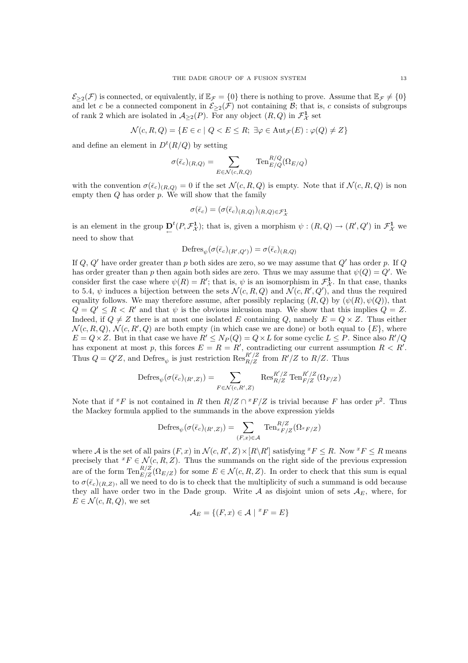$\mathcal{E}_{\geq 2}(\mathcal{F})$  is connected, or equivalently, if  $\mathbb{E}_{\mathcal{F}} = \{0\}$  there is nothing to prove. Assume that  $\mathbb{E}_{\mathcal{F}} \neq \{0\}$ and let c be a connected component in  $\mathcal{E}_{\geq 2}(\mathcal{F})$  not containing  $\mathcal{B}$ ; that is, c consists of subgroups of rank 2 which are isolated in  $\mathcal{A}_{\geq 2}(P)$ . For any object  $(R, Q)$  in  $\mathcal{F}^1_{\mathcal{X}}$  set

$$
\mathcal{N}(c, R, Q) = \{ E \in c \mid Q < E \leq R; \exists \varphi \in \text{Aut}_{\mathcal{F}}(E) : \varphi(Q) \neq Z \}
$$

and define an element in  $D^t(R/Q)$  by setting

$$
\sigma(\bar{\epsilon}_c)_{(R,Q)} = \sum_{E \in \mathcal{N}(c,R,Q)} \text{Ten}_{E/Q}^{R/Q}(\Omega_{E/Q})
$$

with the convention  $\sigma(\bar{\epsilon}_c)_{(R,Q)} = 0$  if the set  $\mathcal{N}(c, R, Q)$  is empty. Note that if  $\mathcal{N}(c, R, Q)$  is non empty then  $Q$  has order  $p$ . We will show that the family

$$
\sigma(\bar{\epsilon}_c) = (\sigma(\bar{\epsilon}_c)_{(R,Q)})_{(R,Q)\in\mathcal{F}^1_{\mathcal{X}}}
$$

is an element in the group  $\mathbf{D}^t(P, \mathcal{F}^1_{\mathcal{X}})$ ; that is, given a morphism  $\psi : (R, Q) \to (R', Q')$  in  $\mathcal{F}^1_{\mathcal{X}}$  we need to show that

$$
\mathrm{Defres}_{\psi}(\sigma(\bar{\epsilon}_c)_{(R',Q')}) = \sigma(\bar{\epsilon}_c)_{(R,Q)}
$$

If Q, Q' have order greater than p both sides are zero, so we may assume that  $Q'$  has order p. If Q has order greater than p then again both sides are zero. Thus we may assume that  $\psi(Q) = Q'$ . We consider first the case where  $\psi(R) = R'$ ; that is,  $\psi$  is an isomorphism in  $\mathcal{F}^1_{\mathcal{X}}$ . In that case, thanks to 5.4,  $\psi$  induces a bijection between the sets  $\mathcal{N}(c, R, Q)$  and  $\mathcal{N}(c, R', Q')$ , and thus the required equality follows. We may therefore assume, after possibly replacing  $(R, Q)$  by  $(\psi(R), \psi(Q))$ , that  $Q = Q' \le R \le R'$  and that  $\psi$  is the obvious inlcusion map. We show that this implies  $Q = Z$ . Indeed, if  $Q \neq Z$  there is at most one isolated E containing Q, namely  $E = Q \times Z$ . Thus either  $\mathcal{N}(c, R, Q), \, \mathcal{N}(c, R', Q)$  are both empty (in which case we are done) or both equal to  $\{E\}$ , where  $E = Q \times Z$ . But in that case we have  $R' \le N_P(Q) = Q \times L$  for some cyclic  $L \le P$ . Since also  $R'/Q$ has exponent at most p, this forces  $E = R = R'$ , contradicting our current assumption  $R < R'$ . Thus  $Q = Q'Z$ , and Defres<sub> $\psi$ </sub> is just restriction  $\text{Res}_{R/Z}^{R'/Z}$  from  $R'/Z$  to  $R/Z$ . Thus

$$
\mathrm{Defres}_{\psi}(\sigma(\bar{\epsilon}_c)_{(R',Z)}) = \sum_{F \in \mathcal{N}(c,R',Z)} \operatorname{Res}_{R/Z}^{R'/Z} \operatorname{Ten}_{F/Z}^{R'/Z}(\Omega_{F/Z})
$$

Note that if <sup>x</sup>F is not contained in R then  $R/Z \cap {}^{x}F/Z$  is trivial because F has order  $p^2$ . Thus the Mackey formula applied to the summands in the above expression yields

$$
\mathrm{Defres}_\psi(\sigma(\bar{\epsilon}_c)_{(R',Z)}) = \sum_{(F,x)\in\mathcal{A}} \mathrm{Ten}^{R/Z}_{^xF/Z}(\Omega_{^xF/Z})
$$

where A is the set of all pairs  $(F, x)$  in  $\mathcal{N}(c, R', Z) \times [R \backslash R']$  satisfying  ${}^x F \leq R$ . Now  ${}^x F \leq R$  means precisely that  $^xF \in \mathcal{N}(c, R, Z)$ . Thus the summands on the right side of the previous expression are of the form  $\text{Ten}_{E/Z}^{R/Z}(\Omega_{E/Z})$  for some  $E \in \mathcal{N}(c, R, Z)$ . In order to check that this sum is equal to  $\sigma(\bar{\epsilon}_c)_{(R,Z)}$ , all we need to do is to check that the multiplicity of such a summand is odd because they all have order two in the Dade group. Write A as disjoint union of sets  $A_E$ , where, for  $E \in \mathcal{N}(c, R, Q)$ , we set

$$
\mathcal{A}_E = \{(F, x) \in \mathcal{A} \mid \, x = E\}
$$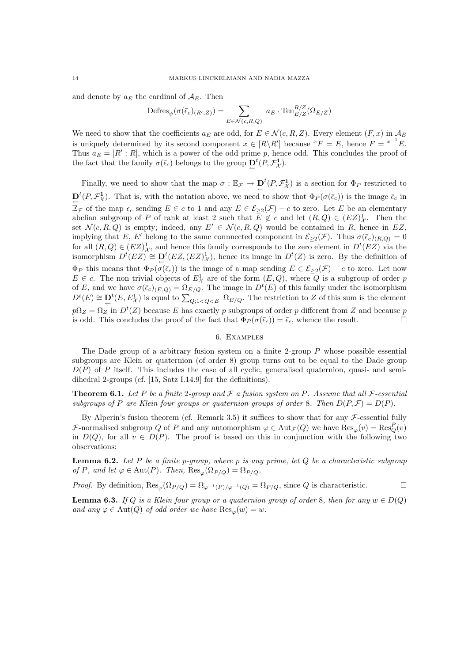and denote by  $a_E$  the cardinal of  $A_E$ . Then

$$
\mathrm{Defres}_{\psi}(\sigma(\bar{\epsilon}_c)_{(R',Z)}) = \sum_{E \in \mathcal{N}(c,R,Q)} a_E \cdot \mathrm{Ten}_{E/Z}^{R/Z}(\Omega_{E/Z})
$$

We need to show that the coefficients  $a_E$  are odd, for  $E \in \mathcal{N}(c, R, Z)$ . Every element  $(F, x)$  in  $\mathcal{A}_E$ is uniquely determined by its second component  $x \in [R \backslash R']$  because  ${}^x F = E$ , hence  $F = {}^{x^{-1}}E$ . Thus  $a_E = [R' : R]$ , which is a power of the odd prime p, hence odd. This concludes the proof of the fact that the family  $\sigma(\bar{\epsilon}_c)$  belongs to the group  $\underline{D}^t(P, \mathcal{F}_\mathcal{X}^1)$ .

Finally, we need to show that the map  $\sigma : \mathbb{E}_{\mathcal{F}} \to \mathbf{D}^t(P, \mathcal{F}^1_{\mathcal{X}})$  is a section for  $\Phi_P$  restricted to  $\mathbf{D}^t(P, \mathcal{F}^1_{\mathcal{X}})$ . That is, with the notation above, we need to show that  $\Phi_P(\sigma(\bar{\epsilon}_c))$  is the image  $\bar{\epsilon}_c$  in  $\mathbb{E}_{\mathcal{F}}$  of the map  $\epsilon_c$  sending  $E \in c$  to 1 and any  $E \in \mathcal{E}_{\geq 2}(\mathcal{F}) - c$  to zero. Let E be an elementary abelian subgroup of P of rank at least 2 such that  $E \notin c$  and let  $(R, Q) \in (EZ)_{\mathcal{X}}^1$ . Then the set  $\mathcal{N}(c, R, Q)$  is empty; indeed, any  $E' \in \mathcal{N}(c, R, Q)$  would be contained in R, hence in EZ, implying that E, E' belong to the same connnected component in  $\mathcal{E}_{\geq 2}(\mathcal{F})$ . Thus  $\sigma(\bar{\epsilon}_c)_{(R,Q)} = 0$ for all  $(R, Q) \in (EZ)_{\mathcal{X}}^1$ , and hence this family corresponds to the zero element in  $D^t(EX)$  via the isomorphism  $D^t(EZ) \cong D^t(EZ,(EZ)_{\mathcal{X}}^1)$ , hence its image in  $D^t(Z)$  is zero. By the definition of  $\Phi_P$  this means that  $\Phi_P(\sigma(\bar{\epsilon}_c))$  is the image of a map sending  $E \in \mathcal{E}_{\geq 2}(\mathcal{F}) - c$  to zero. Let now  $E \in c$ . The non trivial objects of  $E^1_{\mathcal{X}}$  are of the form  $(E, Q)$ , where Q is a subgroup of order p of E, and we have  $\sigma(\bar{\epsilon}_c)_{(E,Q)} = \Omega_{E/Q}$ . The image in  $D^t(E)$  of this family under the isomorphism  $D^{t}(E) \cong \mathbf{D}^{t}(E, E^{1}_{X})$  is equal to  $\sum_{Q; 1 < Q \leq E} \Omega_{E/Q}$ . The restriction to Z of this sum is the element  $p\Omega_Z = \Omega_Z$  in  $D^t(Z)$  because E has exactly p subgroups of order p different from Z and because p is odd. This concludes the proof of the fact that  $\Phi_P(\sigma(\bar{\epsilon}_c)) = \bar{\epsilon}_c$ , whence the result.

#### 6. Examples

The Dade group of a arbitrary fusion system on a finite 2-group P whose possible essential subgroups are Klein or quaternion (of order 8) group turns out to be equal to the Dade group  $D(P)$  of P itself. This includes the case of all cyclic, generalised quaternion, quasi- and semidihedral 2-groups (cf. [15, Satz I.14.9] for the definitions).

**Theorem 6.1.** Let P be a finite 2-group and F a fusion system on P. Assume that all F-essential subgroups of P are Klein four groups or quaternion groups of order 8. Then  $D(P, \mathcal{F}) = D(P)$ .

By Alperin's fusion theorem (cf. Remark 3.5) it suffices to show that for any  $\mathcal F$ -essential fully F-normalised subgroup Q of P and any automorphism  $\varphi \in Aut_{\mathcal{F}}(Q)$  we have  $\text{Res}_{\varphi}(v) = \text{Res}_{Q}^{P}(v)$ in  $D(Q)$ , for all  $v \in D(P)$ . The proof is based on this in conjunction with the following two observations:

**Lemma 6.2.** Let P be a finite p-group, where p is any prime, let Q be a characteristic subgroup of P, and let  $\varphi \in \text{Aut}(P)$ . Then,  $\text{Res}_{\varphi}(\Omega_{P/O}) = \Omega_{P/O}$ .

*Proof.* By definition,  $\text{Res}_{\omega}(\Omega_{P/Q}) = \Omega_{\omega^{-1}(P)/\omega^{-1}(Q)} = \Omega_{P/Q}$ , since Q is characteristic.

**Lemma 6.3.** If Q is a Klein four group or a quaternion group of order 8, then for any  $w \in D(Q)$ and any  $\varphi \in \text{Aut}(Q)$  of odd order we have  $\text{Res}_{\varphi}(w) = w$ .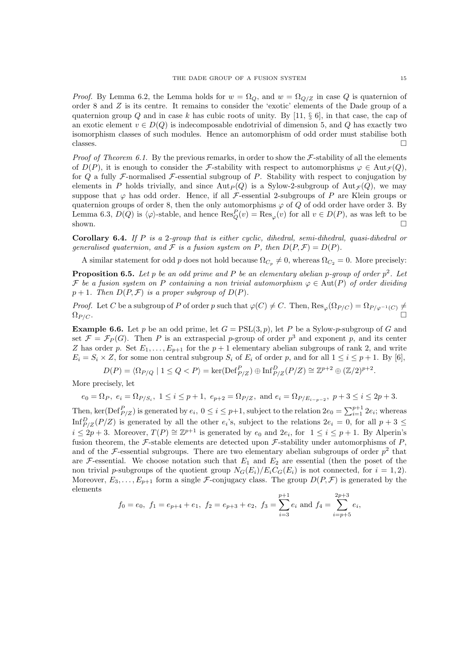*Proof.* By Lemma 6.2, the Lemma holds for  $w = \Omega_Q$ , and  $w = \Omega_{Q/Z}$  in case Q is quaternion of order 8 and Z is its centre. It remains to consider the 'exotic' elements of the Dade group of a quaternion group  $Q$  and in case k has cubic roots of unity. By [11,  $\S$  6], in that case, the cap of an exotic element  $v \in D(Q)$  is indecomposable endotrivial of dimension 5, and Q has exactly two isomorphism classes of such modules. Hence an automorphism of odd order must stabilise both classes.  $\Box$ 

*Proof of Theorem 6.1.* By the previous remarks, in order to show the  $F$ -stability of all the elements of  $D(P)$ , it is enough to consider the *F*-stability with respect to automorphisms  $\varphi \in Aut_{\mathcal{F}}(Q)$ , for  $Q$  a fully F-normalised F-essential subgroup of P. Stability with respect to conjugation by elements in P holds trivially, and since  $\text{Aut}_P(Q)$  is a Sylow-2-subgroup of  $\text{Aut}_\mathcal{F}(Q)$ , we may suppose that  $\varphi$  has odd order. Hence, if all *F*-essential 2-subgroups of P are Klein groups or quaternion groups of order 8, then the only automorphisms  $\varphi$  of Q of odd order have order 3. By Lemma 6.3,  $D(Q)$  is  $\langle \varphi \rangle$ -stable, and hence  $\text{Res}_Q^P(v) = \text{Res}_{\varphi}(v)$  for all  $v \in D(P)$ , as was left to be shown.  $\square$ 

**Corollary 6.4.** If P is a 2-group that is either cyclic, dihedral, semi-dihedral, quasi-dihedral or generalised quaternion, and F is a fusion system on P, then  $D(P, \mathcal{F}) = D(P)$ .

A similar statement for odd p does not hold because  $\Omega_{C_p} \neq 0$ , whereas  $\Omega_{C_2} = 0$ . More precisely:

**Proposition 6.5.** Let p be an odd prime and P be an elementary abelian p-group of order  $p^2$ . Let F be a fusion system on P containing a non trivial automorphism  $\varphi \in \text{Aut}(P)$  of order dividing  $p+1$ . Then  $D(P, \mathcal{F})$  is a proper subgroup of  $D(P)$ .

*Proof.* Let C be a subgroup of P of order p such that  $\varphi(C) \neq C$ . Then,  $\text{Res}_{\varphi}(\Omega_{P/C}) = \Omega_{P/\varphi^{-1}(C)} \neq$  $\Omega_{P/C}.$ 

**Example 6.6.** Let p be an odd prime, let  $G = \text{PSL}(3, p)$ , let P be a Sylow-p-subgroup of G and set  $\mathcal{F} = \mathcal{F}_P(G)$ . Then P is an extraspecial p-group of order  $p^3$  and exponent p, and its center Z has order p. Set  $E_1, \ldots, E_{p+1}$  for the  $p+1$  elementary abelian subgroups of rank 2, and write  $E_i = S_i \times Z$ , for some non central subgroup  $S_i$  of  $E_i$  of order p, and for all  $1 \leq i \leq p+1$ . By [6],

 $D(P) = \langle \Omega_{P/Q} \mid 1 \le Q < P \rangle = \ker(\text{Def}_{P/Z}^P) \oplus \text{Inf}_{P/Z}^D(P/Z) \cong \mathbb{Z}^{p+2} \oplus (\mathbb{Z}/2)^{p+2}.$ 

More precisely, let

$$
e_0 = \Omega_P, \ e_i = \Omega_{P/S_i}, \ 1 \leq i \leq p+1, \ e_{p+2} = \Omega_{P/Z}, \text{ and } e_i = \Omega_{P/E_{i-p-2}}, \ p+3 \leq i \leq 2p+3.
$$

Then, ker(Def $_{P/Z}^P$ ) is generated by  $e_i$ ,  $0 \le i \le p+1$ , subject to the relation  $2e_0 = \sum_{i=1}^{p+1} 2e_i$ ; whereas  $\text{Inf}_{P/Z}^D(P/Z)$  is generated by all the other  $e_i$ 's, subject to the relations  $2e_i = 0$ , for all  $p + 3 \leq$  $i \leq 2p+3$ . Moreover,  $T(P) \cong \mathbb{Z}^{p+1}$  is generated by  $e_0$  and  $2e_i$ , for  $1 \leq i \leq p+1$ . By Alperin's fusion theorem, the F-stable elements are detected upon F-stability under automorphisms of  $P$ , and of the F-essential subgroups. There are two elementary abelian subgroups of order  $p^2$  that are F-essential. We choose notation such that  $E_1$  and  $E_2$  are essential (then the poset of the non trivial p-subgroups of the quotient group  $N_G(E_i)/E_iC_G(E_i)$  is not connected, for  $i = 1, 2$ ). Moreover,  $E_3, \ldots, E_{p+1}$  form a single F-conjugacy class. The group  $D(P, \mathcal{F})$  is generated by the elements

$$
f_0 = e_0
$$
,  $f_1 = e_{p+4} + e_1$ ,  $f_2 = e_{p+3} + e_2$ ,  $f_3 = \sum_{i=3}^{p+1} e_i$  and  $f_4 = \sum_{i=p+5}^{2p+3} e_i$ ,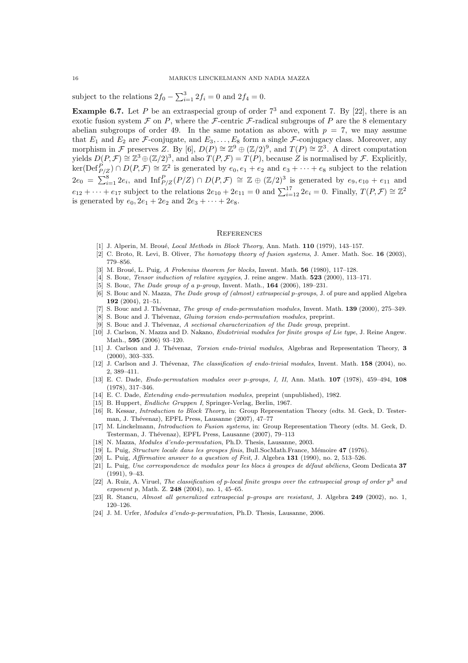subject to the relations  $2f_0 - \sum_{i=1}^3 2f_i = 0$  and  $2f_4 = 0$ .

**Example 6.7.** Let P be an extraspecial group of order  $7<sup>3</sup>$  and exponent 7. By [22], there is an exotic fusion system  $\mathcal F$  on P, where the  $\mathcal F$ -centric  $\mathcal F$ -radical subgroups of P are the 8 elementary abelian subgroups of order 49. In the same notation as above, with  $p = 7$ , we may assume that  $E_1$  and  $E_2$  are  $\mathcal{F}$ -conjugate, and  $E_3, \ldots, E_8$  form a single  $\mathcal{F}$ -conjugacy class. Moreover, any morphism in F preserves Z. By [6],  $D(P) \cong \mathbb{Z}^9 \oplus (\mathbb{Z}/2)^9$ , and  $T(P) \cong \mathbb{Z}^3$ . A direct computation yields  $D(P, \mathcal{F}) \cong \mathbb{Z}^3 \oplus (\mathbb{Z}/2)^3$ , and also  $T(P, \mathcal{F}) = T(P)$ , because Z is normalised by  $\mathcal{F}$ . Explicitly,  $\ker(\mathrm{Def}_{P/Z}^P) \cap D(P,\mathcal{F}) \cong \mathbb{Z}^2$  is generated by  $e_0,e_1+e_2$  and  $e_3+\cdots+e_8$  subject to the relation  $2e_0 = \sum_{i=1}^8 2e_i$ , and  $\text{Inf}_{P/Z}^P(P/Z) \cap D(P,\mathcal{F}) \cong \mathbb{Z} \oplus (\mathbb{Z}/2)^3$  is generated by  $e_9,e_{10}+e_{11}$  and  $e_{12} + \cdots + e_{17}$  subject to the relations  $2e_{10} + 2e_{11} = 0$  and  $\sum_{i=12}^{17} 2e_i = 0$ . Finally,  $T(P, \mathcal{F}) \cong \mathbb{Z}^2$ is generated by  $e_0$ ,  $2e_1 + 2e_2$  and  $2e_3 + \cdots + 2e_8$ .

#### **REFERENCES**

- [1] J. Alperin, M. Broué, *Local Methods in Block Theory*, Ann. Math. **110** (1979), 143-157.
- [2] C. Broto, R. Levi, B. Oliver, The homotopy theory of fusion systems, J. Amer. Math. Soc. 16 (2003), 779–856.
- [3] M. Broué, L. Puig, A Frobenius theorem for blocks, Invent. Math.  $56$  (1980), 117–128.
- [4] S. Bouc, Tensor induction of relative syzygies, J. reine angew. Math. 523 (2000), 113–171.
- [5] S. Bouc, *The Dade group of a p-group*, Invent. Math., **164** (2006), 189–231.
- [6] S. Bouc and N. Mazza, The Dade group of (almost) extraspecial p-groups, J. of pure and applied Algebra 192 (2004), 21–51.
- [7] S. Bouc and J. Thévenaz, The group of endo-permutation modules, Invent. Math. 139 (2000), 275–349.
- [8] S. Bouc and J. Thévenaz, Gluing torsion endo-permutation modules, preprint.
- [9] S. Bouc and J. Thévenaz, A sectional characterization of the Dade group, preprint.
- [10] J. Carlson, N. Mazza and D. Nakano, Endotrivial modules for finite groups of Lie type, J. Reine Angew. Math., 595 (2006) 93–120.
- [11] J. Carlson and J. Thévenaz, Torsion endo-trivial modules, Algebras and Representation Theory, 3 (2000), 303–335.
- [12] J. Carlson and J. Thévenaz, The classification of endo-trivial modules, Invent. Math. 158 (2004), no. 2, 389–411.
- [13] E. C. Dade, Endo-permutation modules over p-groups, I, II, Ann. Math. 107 (1978), 459–494, 108 (1978), 317–346.
- [14] E. C. Dade, Extending endo-permutation modules, preprint (unpublished), 1982.
- [15] B. Huppert, Endliche Gruppen I, Springer-Verlag, Berlin, 1967.
- [16] R. Kessar, Introduction to Block Theory, in: Group Representation Theory (edts. M. Geck, D. Testerman, J. Thévenaz), EPFL Press, Lausanne (2007), 47–77
- [17] M. Linckelmann, Introduction to Fusion systems, in: Group Representation Theory (edts. M. Geck, D. Testerman, J. Thévenaz), EPFL Press, Lausanne (2007), 79-113
- [18] N. Mazza, Modules d'endo-permutation, Ph.D. Thesis, Lausanne, 2003.
- [19] L. Puig, Structure locale dans les groupes finis, Bull.SocMath.France, M´emoire 47 (1976).
- [20] L. Puig, *Affirmative answer to a question of Feit*, J. Algebra 131 (1990), no. 2, 513–526.
- [21] L. Puig, Une correspondence de modules pour les blocs à groupes de défaut abéliens, Geom Dedicata 37 (1991), 9–43.
- [22] A. Ruiz, A. Viruel, The classification of p-local finite groups over the extraspecial group of order  $p^3$  and exponent p, Math. Z. 248 (2004), no. 1, 45–65.
- [23] R. Stancu, Almost all generalized extraspecial p-groups are resistant, J. Algebra 249 (2002), no. 1, 120–126.
- [24] J. M. Urfer, Modules d'endo-p-permutation, Ph.D. Thesis, Lausanne, 2006.